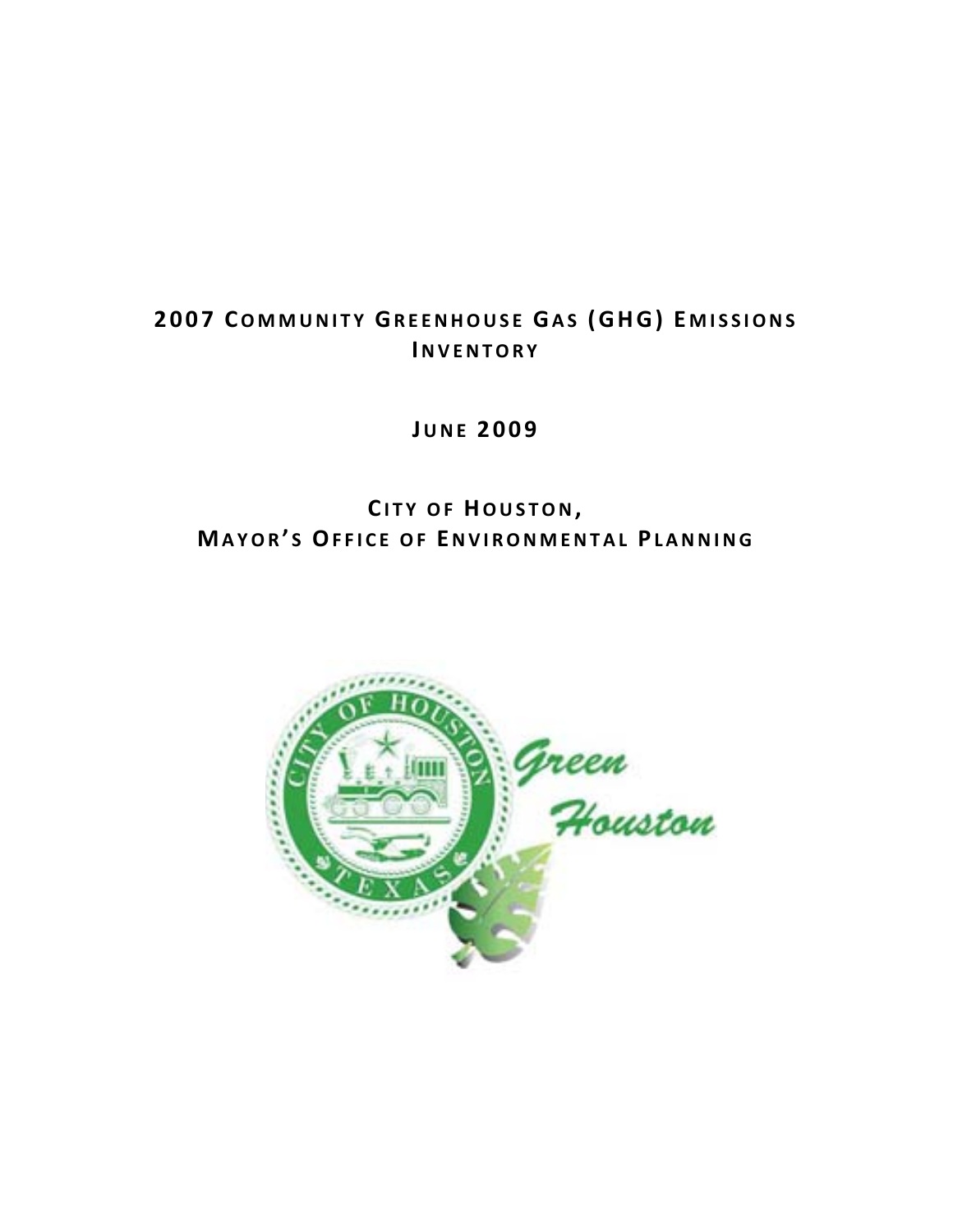# **2007 COMMUNITY GREENHOUSE GA S (GHG) E MISSIONS INVENTORY**

**JUNE 2009**

# **CITY O F HOUSTON, MAYOR ' S OFFICE O F ENVIRONMENTAL PLANNING**

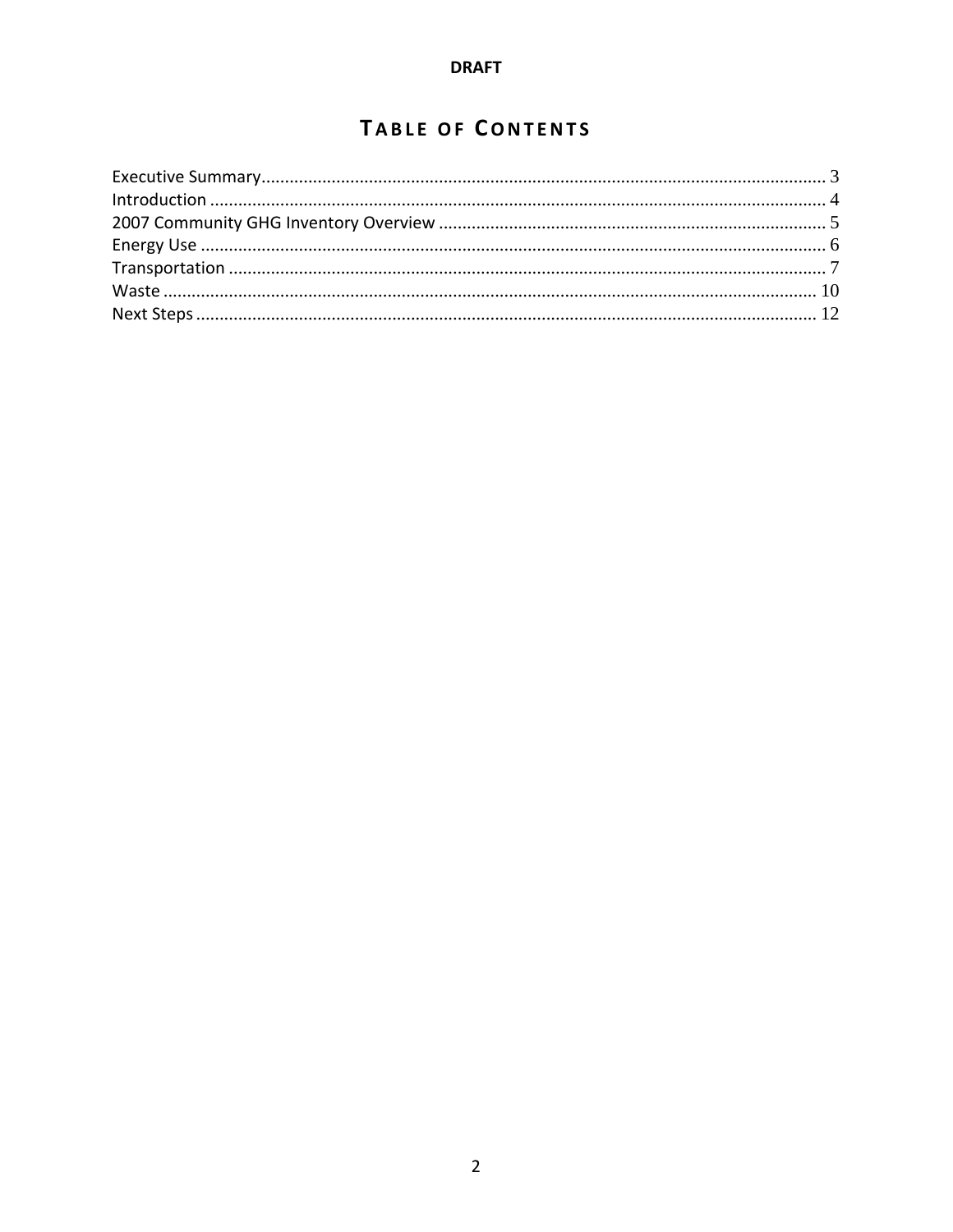## TABLE OF CONTENTS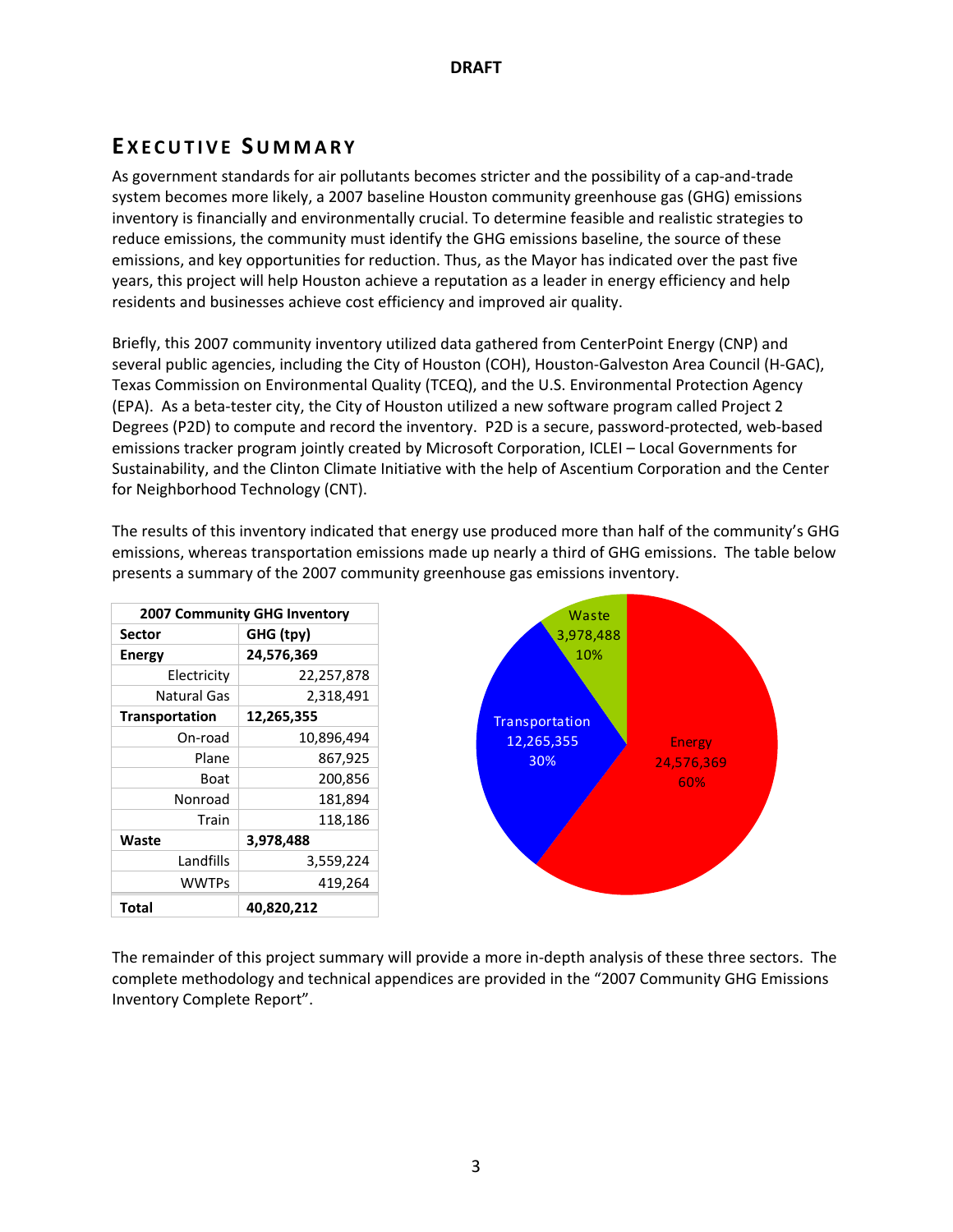## **E XECUTIVE SUMMARY**

As government standards for air pollutants becomes stricter and the possibility of a cap‐and‐trade system becomes more likely, a 2007 baseline Houston community greenhouse gas (GHG) emissions inventory is financially and environmentally crucial. To determine feasible and realistic strategies to reduce emissions, the community must identify the GHG emissions baseline, the source of these emissions, and key opportunities for reduction. Thus, as the Mayor has indicated over the past five years, this project will help Houston achieve a reputation as a leader in energy efficiency and help residents and businesses achieve cost efficiency and improved air quality.

Briefly, this 2007 community inventory utilized data gathered from CenterPoint Energy (CNP) and several public agencies, including the City of Houston (COH), Houston‐Galveston Area Council (H‐GAC), Texas Commission on Environmental Quality (TCEQ), and the U.S. Environmental Protection Agency (EPA). As a beta‐tester city, the City of Houston utilized a new software program called Project 2 Degrees (P2D) to compute and record the inventory. P2D is a secure, password-protected, web-based emissions tracker program jointly created by Microsoft Corporation, ICLEI – Local Governments for Sustainability, and the Clinton Climate Initiative with the help of Ascentium Corporation and the Center for Neighborhood Technology (CNT).

The results of this inventory indicated that energy use produced more than half of the community's GHG emissions, whereas transportation emissions made up nearly a third of GHG emissions. The table below presents a summary of the 2007 community greenhouse gas emissions inventory.

> ergy 76,369 60%

|                    | <b>2007 Community GHG Inventory</b> |
|--------------------|-------------------------------------|
| <b>Sector</b>      | GHG (tpy)                           |
| <b>Energy</b>      | 24,576,369                          |
| Electricity        | 22,257,878                          |
| <b>Natural Gas</b> | 2,318,491                           |
| Transportation     | 12,265,355                          |
| On-road            | 10,896,494                          |
| Plane              | 867,925                             |
| <b>Boat</b>        | 200,856                             |
| Nonroad            | 181,894                             |
| Train              | 118,186                             |
| Waste              | 3,978,488                           |
| Landfills          | 3,559,224                           |
| <b>WWTPs</b>       | 419,264                             |
| <b>Total</b>       | 40,820,212                          |

The remainder of this project summary will provide a more in‐depth analysis of these three sectors. The complete methodology and technical appendices are provided in the "2007 Community GHG Emissions Inventory Complete Report".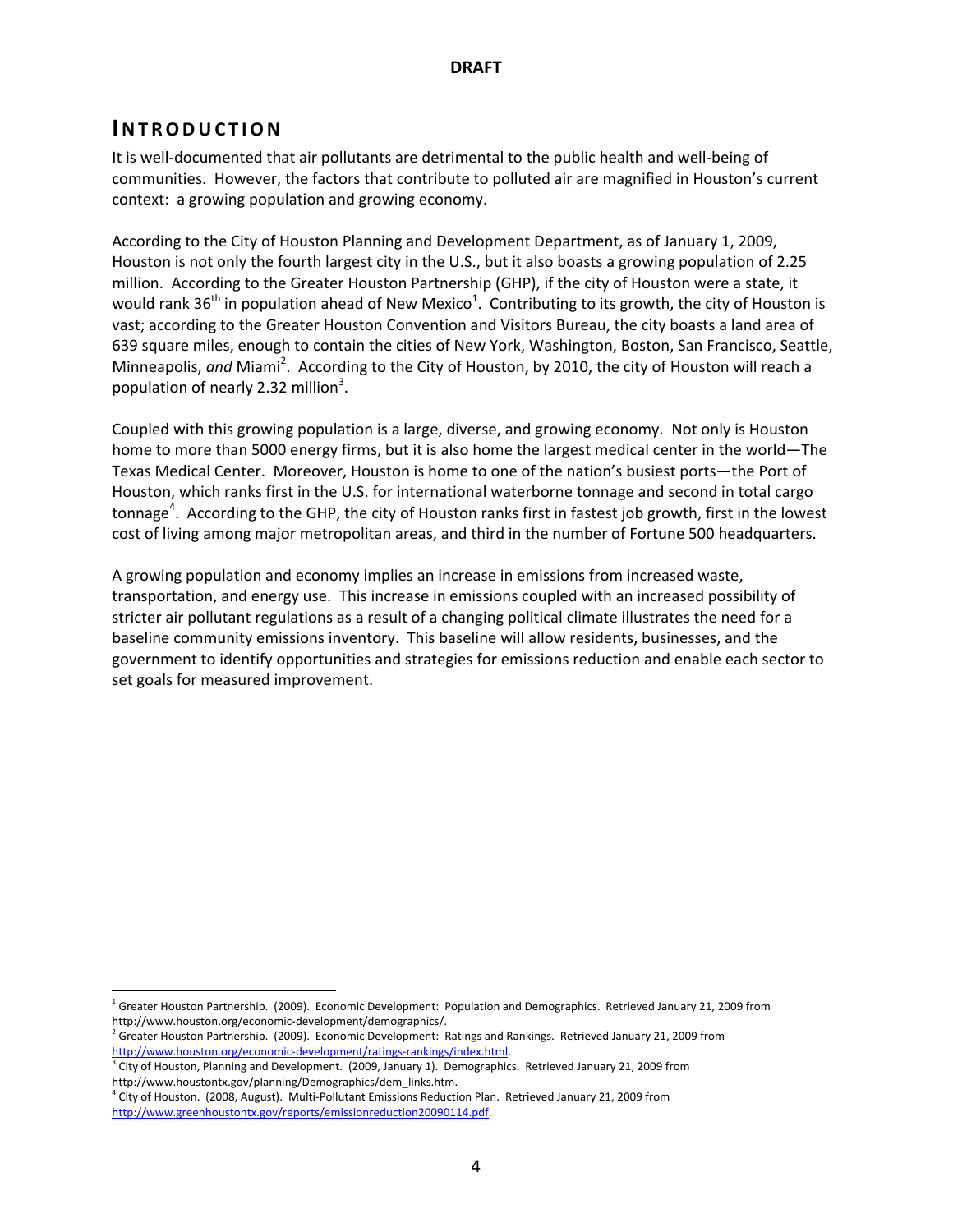### **INTRODUCTION**

 $\overline{a}$ 

It is well‐documented that air pollutants are detrimental to the public health and well‐being of communities. However, the factors that contribute to polluted air are magnified in Houston's current context: a growing population and growing economy.

According to the City of Houston Planning and Development Department, as of January 1, 2009, Houston is not only the fourth largest city in the U.S., but it also boasts a growing population of 2.25 million. According to the Greater Houston Partnership (GHP), if the city of Houston were a state, it would rank 36<sup>th</sup> in population ahead of New Mexico<sup>1</sup>. Contributing to its growth, the city of Houston is vast; according to the Greater Houston Convention and Visitors Bureau, the city boasts a land area of 639 square miles, enough to contain the cities of New York, Washington, Boston, San Francisco, Seattle, Minneapolis, and Miami<sup>2</sup>. According to the City of Houston, by 2010, the city of Houston will reach a population of nearly 2.32 million<sup>3</sup>.

Coupled with this growing population is a large, diverse, and growing economy. Not only is Houston home to more than 5000 energy firms, but it is also home the largest medical center in the world—The Texas Medical Center. Moreover, Houston is home to one of the nation's busiest ports—the Port of Houston, which ranks first in the U.S. for international waterborne tonnage and second in total cargo tonnage<sup>4</sup>. According to the GHP, the city of Houston ranks first in fastest job growth, first in the lowest cost of living among major metropolitan areas, and third in the number of Fortune 500 headquarters.

A growing population and economy implies an increase in emissions from increased waste, transportation, and energy use. This increase in emissions coupled with an increased possibility of stricter air pollutant regulations as a result of a changing political climate illustrates the need for a baseline community emissions inventory. This baseline will allow residents, businesses, and the government to identify opportunities and strategies for emissions reduction and enable each sector to set goals for measured improvement.

<sup>&</sup>lt;sup>1</sup> Greater Houston Partnership. (2009). Economic Development: Population and Demographics. Retrieved January 21, 2009 from http://www.houston.org/economic-development/demographics/.<br><sup>2</sup> Greater Houston Partnership. (2009). Economic Development: Ratings and Rankings. Retrieved January 21, 2009 from

http://www.houston.org/economic‐development/ratings‐rankings/index.html.

 $3$  City of Houston, Planning and Development. (2009, January 1). Demographics. Retrieved January 21, 2009 from http://www.houstontx.gov/planning/Demographics/dem\_links.htm.<br><sup>4</sup> City of Houston. (2008, August). Multi-Pollutant Emissions Reduction Plan. Retrieved January 21, 2009 from

http://www.greenhoustontx.gov/reports/emissionreduction20090114.pdf.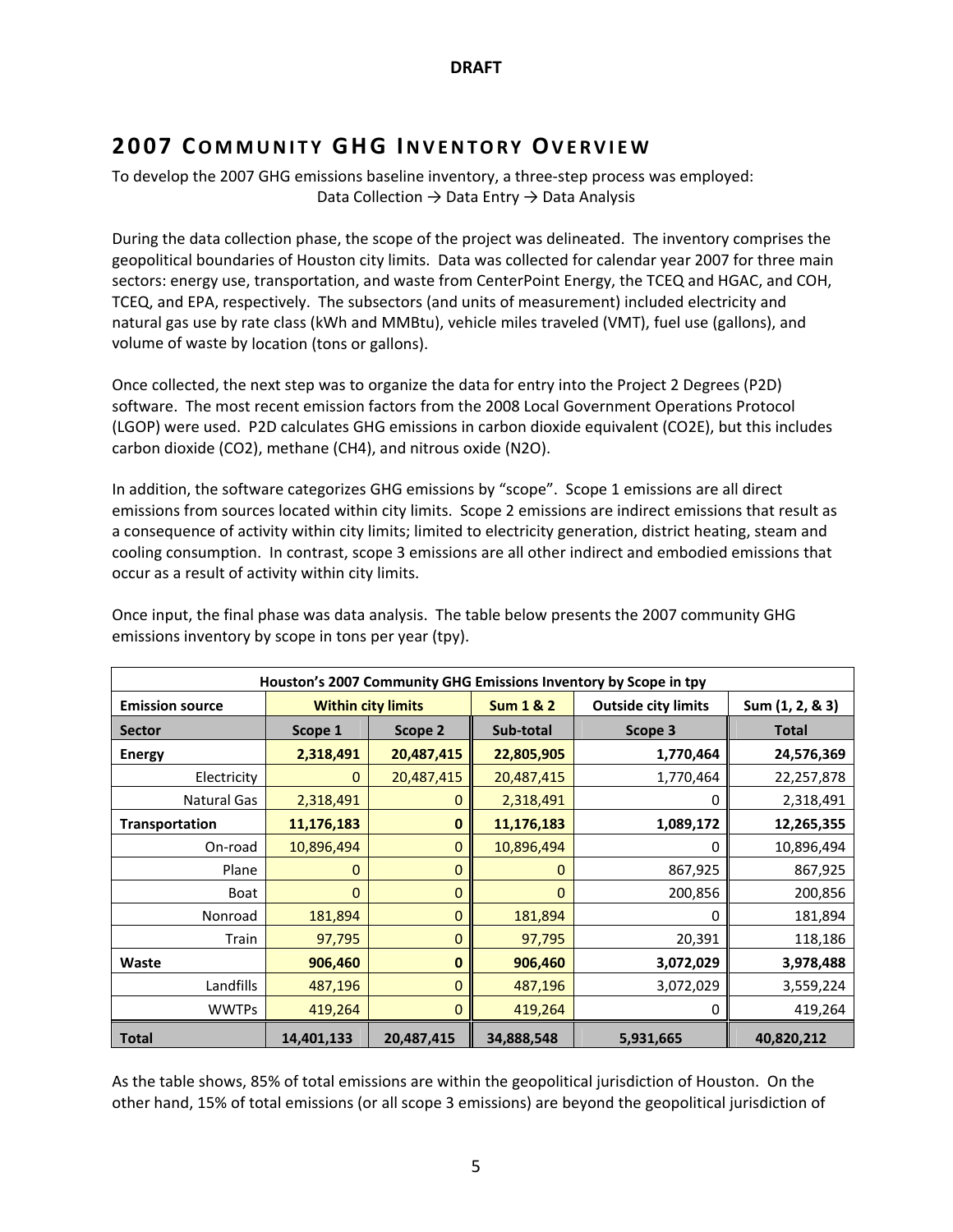## **2007 COMMUNITY GHG INVENTORY OVERVIEW**

To develop the 2007 GHG emissions baseline inventory, a three‐step process was employed: Data Collection  $\rightarrow$  Data Entry  $\rightarrow$  Data Analysis

During the data collection phase, the scope of the project was delineated. The inventory comprises the geopolitical boundaries of Houston city limits. Data was collected for calendar year 2007 for three main sectors: energy use, transportation, and waste from CenterPoint Energy, the TCEQ and HGAC, and COH, TCEQ, and EPA, respectively. The subsectors (and units of measurement) included electricity and natural gas use by rate class (kWh and MMBtu), vehicle miles traveled (VMT), fuel use (gallons), and volume of waste by location (tons or gallons).

Once collected, the next step was to organize the data for entry into the Project 2 Degrees (P2D) software. The most recent emission factors from the 2008 Local Government Operations Protocol (LGOP) were used. P2D calculates GHG emissions in carbon dioxide equivalent (CO2E), but this includes carbon dioxide (CO2), methane (CH4), and nitrous oxide (N2O).

In addition, the software categorizes GHG emissions by "scope". Scope 1 emissions are all direct emissions from sources located within city limits. Scope 2 emissions are indirect emissions that result as a consequence of activity within city limits; limited to electricity generation, district heating, steam and cooling consumption. In contrast, scope 3 emissions are all other indirect and embodied emissions that occur as a result of activity within city limits.

| Houston's 2007 Community GHG Emissions Inventory by Scope in tpy |                           |              |                      |                            |                 |  |  |  |  |  |
|------------------------------------------------------------------|---------------------------|--------------|----------------------|----------------------------|-----------------|--|--|--|--|--|
| <b>Emission source</b>                                           | <b>Within city limits</b> |              | <b>Sum 1 &amp; 2</b> | <b>Outside city limits</b> | Sum (1, 2, & 3) |  |  |  |  |  |
| <b>Sector</b>                                                    | Scope 1                   | Scope 2      | Sub-total            | Scope 3                    | <b>Total</b>    |  |  |  |  |  |
| <b>Energy</b>                                                    | 2,318,491                 | 20,487,415   | 22,805,905           | 1,770,464                  | 24,576,369      |  |  |  |  |  |
| Electricity                                                      | 0                         | 20,487,415   | 20,487,415           | 1,770,464                  | 22,257,878      |  |  |  |  |  |
| Natural Gas                                                      | 2,318,491                 | $\mathbf{0}$ | 2,318,491            | 0                          | 2,318,491       |  |  |  |  |  |
| Transportation                                                   | 11,176,183                | $\mathbf{0}$ | 11,176,183           | 1,089,172                  | 12,265,355      |  |  |  |  |  |
| On-road                                                          | 10,896,494                | $\mathbf{0}$ | 10,896,494           | C                          | 10,896,494      |  |  |  |  |  |
| Plane                                                            | 0                         | $\Omega$     | 0                    | 867,925                    | 867,925         |  |  |  |  |  |
| Boat                                                             | $\overline{0}$            | $\mathbf{0}$ | 0                    | 200,856                    | 200,856         |  |  |  |  |  |
| Nonroad                                                          | 181,894                   | $\mathbf{0}$ | 181,894              | 0                          | 181,894         |  |  |  |  |  |
| Train                                                            | 97,795                    | $\mathbf{0}$ | 97,795               | 20,391                     | 118,186         |  |  |  |  |  |
| Waste                                                            | 906,460                   | $\mathbf 0$  | 906,460              | 3,072,029                  | 3,978,488       |  |  |  |  |  |
| Landfills                                                        | 487,196                   | $\mathbf{0}$ | 487,196              | 3,072,029                  | 3,559,224       |  |  |  |  |  |
| <b>WWTPs</b>                                                     | 419,264                   | $\mathbf{0}$ | 419,264              | 0                          | 419,264         |  |  |  |  |  |
| <b>Total</b>                                                     | 14,401,133                | 20,487,415   | 34,888,548           | 5,931,665                  | 40,820,212      |  |  |  |  |  |

Once input, the final phase was data analysis. The table below presents the 2007 community GHG emissions inventory by scope in tons per year (tpy).

As the table shows, 85% of total emissions are within the geopolitical jurisdiction of Houston. On the other hand, 15% of total emissions (or all scope 3 emissions) are beyond the geopolitical jurisdiction of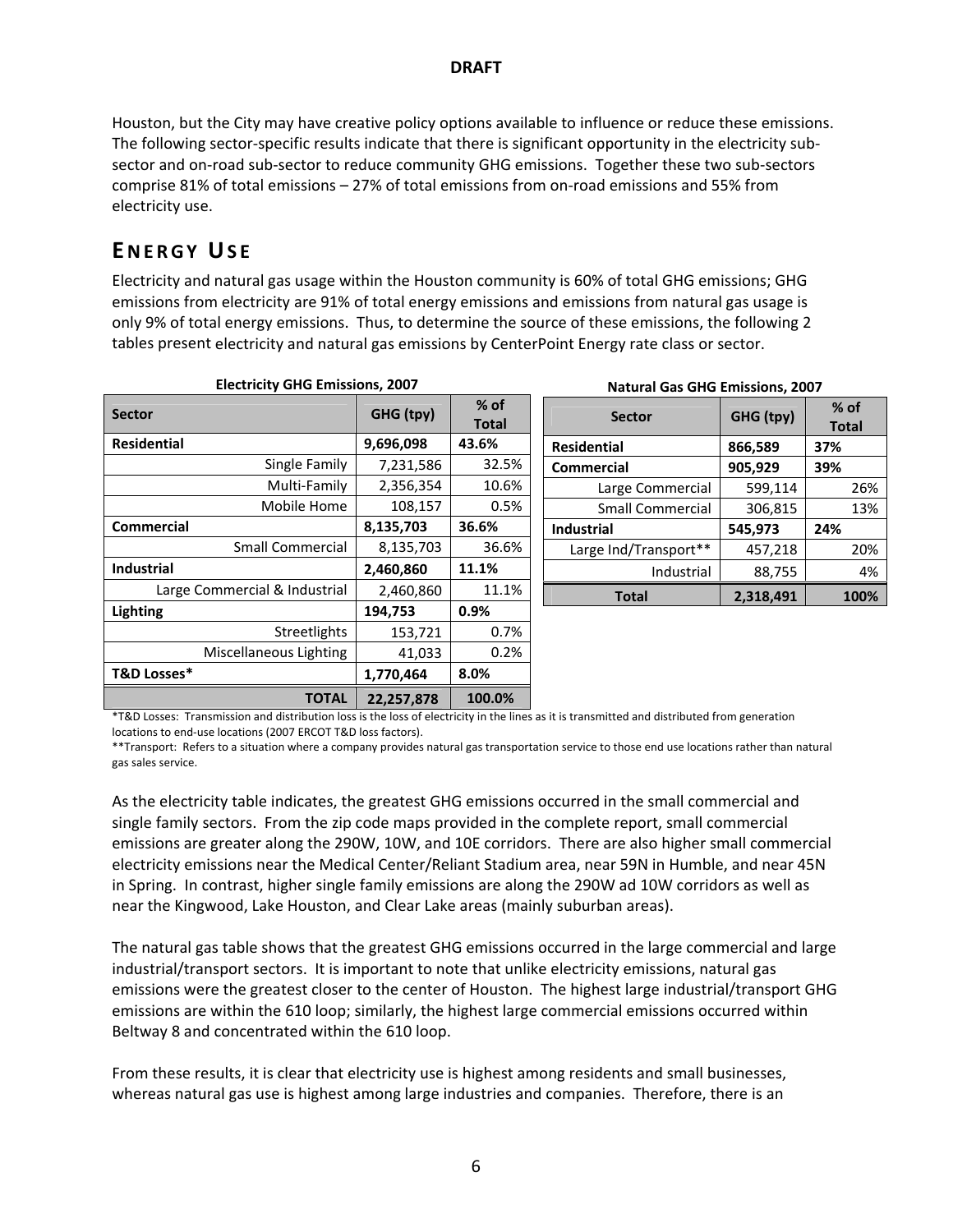Houston, but the City may have creative policy options available to influence or reduce these emissions. The following sector-specific results indicate that there is significant opportunity in the electricity subsector and on-road sub-sector to reduce community GHG emissions. Together these two sub-sectors comprise 81% of total emissions – 27% of total emissions from on‐road emissions and 55% from electricity use.

## **ENERGY US E**

Electricity and natural gas usage within the Houston community is 60% of total GHG emissions; GHG emissions from electricity are 91% of total energy emissions and emissions from natural gas usage is only 9% of total energy emissions. Thus, to determine the source of these emissions, the following 2 tables present electricity and natural gas emissions by CenterPoint Energy rate class or sector.

| <b>Electricity GHG Emissions, 2007</b> |            |                 | <b>Natural Gas GHG Emissions, 2007</b> |           |                        |
|----------------------------------------|------------|-----------------|----------------------------------------|-----------|------------------------|
| <b>Sector</b>                          | GHG (tpy)  | $%$ of<br>Total | <b>Sector</b>                          | GHG (tpy) | $%$ of<br><b>Total</b> |
| <b>Residential</b>                     | 9,696,098  | 43.6%           | <b>Residential</b>                     | 866,589   | 37%                    |
| Single Family                          | 7,231,586  | 32.5%           | <b>Commercial</b>                      | 905,929   | 39%                    |
| Multi-Family                           | 2,356,354  | 10.6%           | Large Commercial                       | 599,114   | 26%                    |
| Mobile Home                            | 108,157    | 0.5%            | <b>Small Commercial</b>                | 306,815   | 13%                    |
| <b>Commercial</b>                      | 8,135,703  | 36.6%           | <b>Industrial</b>                      | 545,973   | 24%                    |
| <b>Small Commercial</b>                | 8,135,703  | 36.6%           | Large Ind/Transport**                  | 457,218   | 20%                    |
| <b>Industrial</b>                      | 2,460,860  | 11.1%           | Industrial                             | 88,755    | 4%                     |
| Large Commercial & Industrial          | 2,460,860  | 11.1%           | <b>Total</b>                           | 2,318,491 | 100%                   |
| Lighting                               | 194.753    | 0.9%            |                                        |           |                        |
| Streetlights                           | 153,721    | 0.7%            |                                        |           |                        |
| Miscellaneous Lighting                 | 41,033     | 0.2%            |                                        |           |                        |
| T&D Losses*                            | 1,770,464  | 8.0%            |                                        |           |                        |
| <b>TOTAL</b>                           | 22,257,878 | 100.0%          |                                        |           |                        |

#### \*T&D Losses: Transmission and distribution loss is the loss of electricity in the lines as it is transmitted and distributed from generation locations to end‐use locations (2007 ERCOT T&D loss factors).

\*\*Transport: Refers to a situation where a company provides natural gas transportation service to those end use locations rather than natural gas sales service.

As the electricity table indicates, the greatest GHG emissions occurred in the small commercial and single family sectors. From the zip code maps provided in the complete report, small commercial emissions are greater along the 290W, 10W, and 10E corridors. There are also higher small commercial electricity emissions near the Medical Center/Reliant Stadium area, near 59N in Humble, and near 45N in Spring. In contrast, higher single family emissions are along the 290W ad 10W corridors as well as near the Kingwood, Lake Houston, and Clear Lake areas (mainly suburban areas).

The natural gas table shows that the greatest GHG emissions occurred in the large commercial and large industrial/transport sectors. It is important to note that unlike electricity emissions, natural gas emissions were the greatest closer to the center of Houston. The highest large industrial/transport GHG emissions are within the 610 loop; similarly, the highest large commercial emissions occurred within Beltway 8 and concentrated within the 610 loop.

From these results, it is clear that electricity use is highest among residents and small businesses, whereas natural gas use is highest among large industries and companies. Therefore, there is an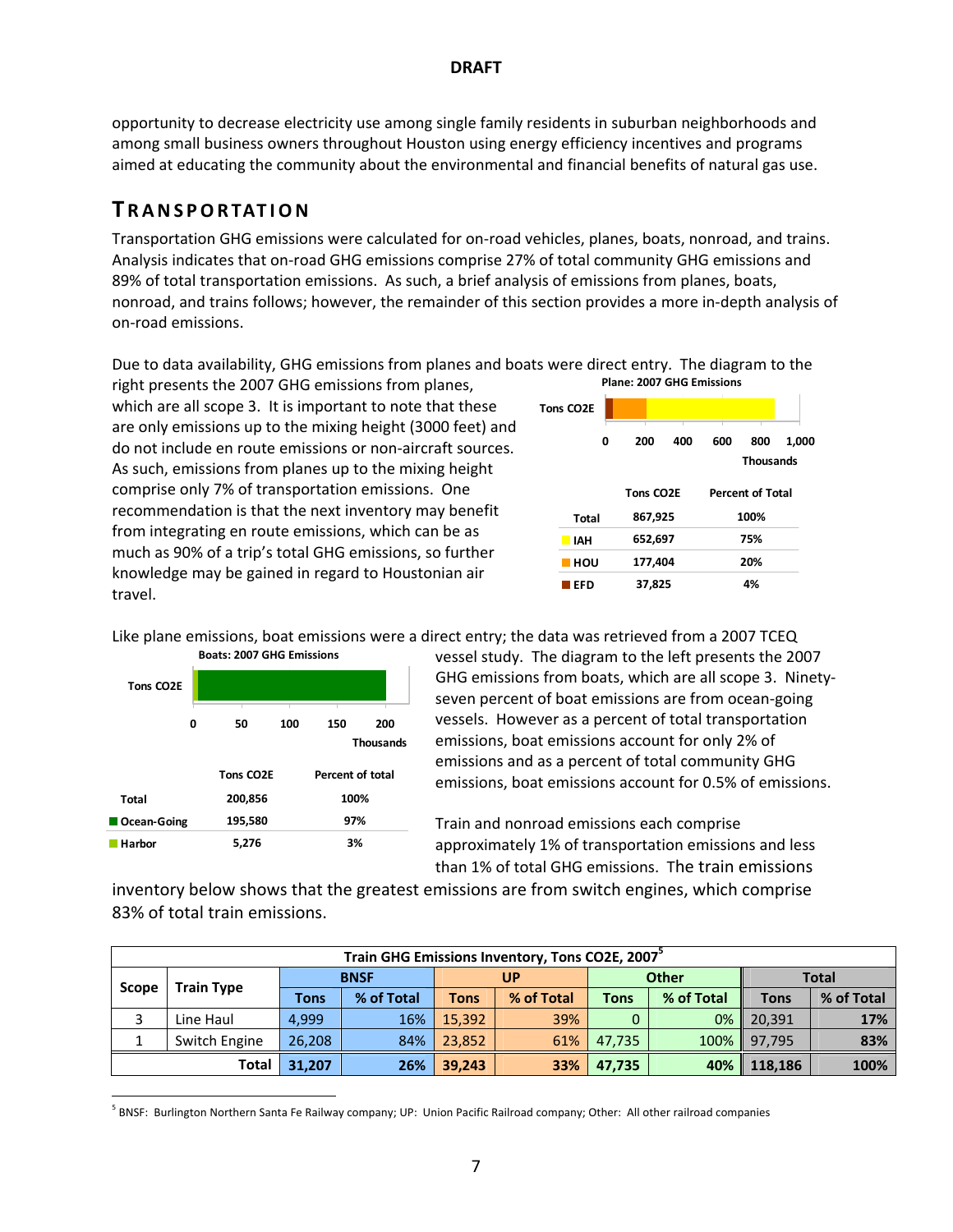#### **DRAFT**

opportunity to decrease electricity use among single family residents in suburban neighborhoods and among small business owners throughout Houston using energy efficiency incentives and programs aimed at educating the community about the environmental and financial benefits of natural gas use.

### **T RANSPORTATION**

Transportation GHG emissions were calculated for on‐road vehicles, planes, boats, nonroad, and trains. Analysis indicates that on‐road GHG emissions comprise 27% of total community GHG emissions and 89% of total transportation emissions. As such, a brief analysis of emissions from planes, boats, nonroad, and trains follows; however, the remainder of this section provides a more in‐depth analysis of on‐road emissions.

**Plane: 2007 GHG Emissions** Due to data availability, GHG emissions from planes and boats were direct entry. The diagram to the

right presents the 2007 GHG emissions from planes, which are all scope 3. It is important to note that these are only emissions up to the mixing height (3000 feet) and do not include en route emissions or non‐aircraft sources. As such, emissions from planes up to the mixing height comprise only 7% of transportation emissions. One recommendation is that the next inventory may benefit from integrating en route emissions, which can be as much as 90% of a trip's total GHG emissions, so further knowledge may be gained in regard to Houstonian air travel.

| <b>Tons CO2E</b> |                        |     |     |                         |       |
|------------------|------------------------|-----|-----|-------------------------|-------|
| 0                | 200                    | 400 | 600 | 800<br><b>Thousands</b> | 1,000 |
|                  | Tons CO <sub>2</sub> E |     |     | <b>Percent of Total</b> |       |
| <b>Total</b>     | 867,925                |     |     | 100%                    |       |
| <b>IAH</b>       | 652,697                |     |     | 75%                     |       |
| <b>HOU</b>       | 177,404                |     |     | 20%                     |       |
| <b>EFD</b>       | 37,825                 |     |     | 4%                      |       |



Like plane emissions, boat emissions were a direct entry; the data was retrieved from a 2007 TCEQ

vessel study. The diagram to the left presents the 2007 GHG emissions from boats, which are all scope 3. Ninety‐ seven percent of boat emissions are from ocean‐going vessels. However as a percent of total transportation emissions, boat emissions account for only 2% of emissions and as a percent of total community GHG emissions, boat emissions account for 0.5% of emissions.

Train and nonroad emissions each comprise approximately 1% of transportation emissions and less than 1% of total GHG emissions. The train emissions

inventory below shows that the greatest emissions are from switch engines, which comprise 83% of total train emissions.

| Train GHG Emissions Inventory, Tons CO2E, 2007 <sup>5</sup> |        |            |             |            |             |            |             |            |  |  |
|-------------------------------------------------------------|--------|------------|-------------|------------|-------------|------------|-------------|------------|--|--|
| <b>Other</b><br><b>Total</b><br><b>BNSF</b><br>UP<br>Scope  |        |            |             |            |             |            |             |            |  |  |
| <b>Train Type</b>                                           | Tons   | % of Total | <b>Tons</b> | % of Total | <b>Tons</b> | % of Total | <b>Tons</b> | % of Total |  |  |
| Line Haul                                                   | 4.999  | 16%        | 15,392      | 39%        | 0           |            | 0% 20,391   | 17%        |  |  |
| Switch Engine                                               | 26,208 | 84%        | 23,852      | 61%        | 47,735      |            | 100% 97,795 | 83%        |  |  |
| Total                                                       | 31.207 | 26%        | 39,243      | 33%        | 47,735      |            | 40% 118,186 | 100%       |  |  |

 $\overline{a}$ <sup>5</sup> BNSF: Burlington Northern Santa Fe Railway company; UP: Union Pacific Railroad company; Other: All other railroad companies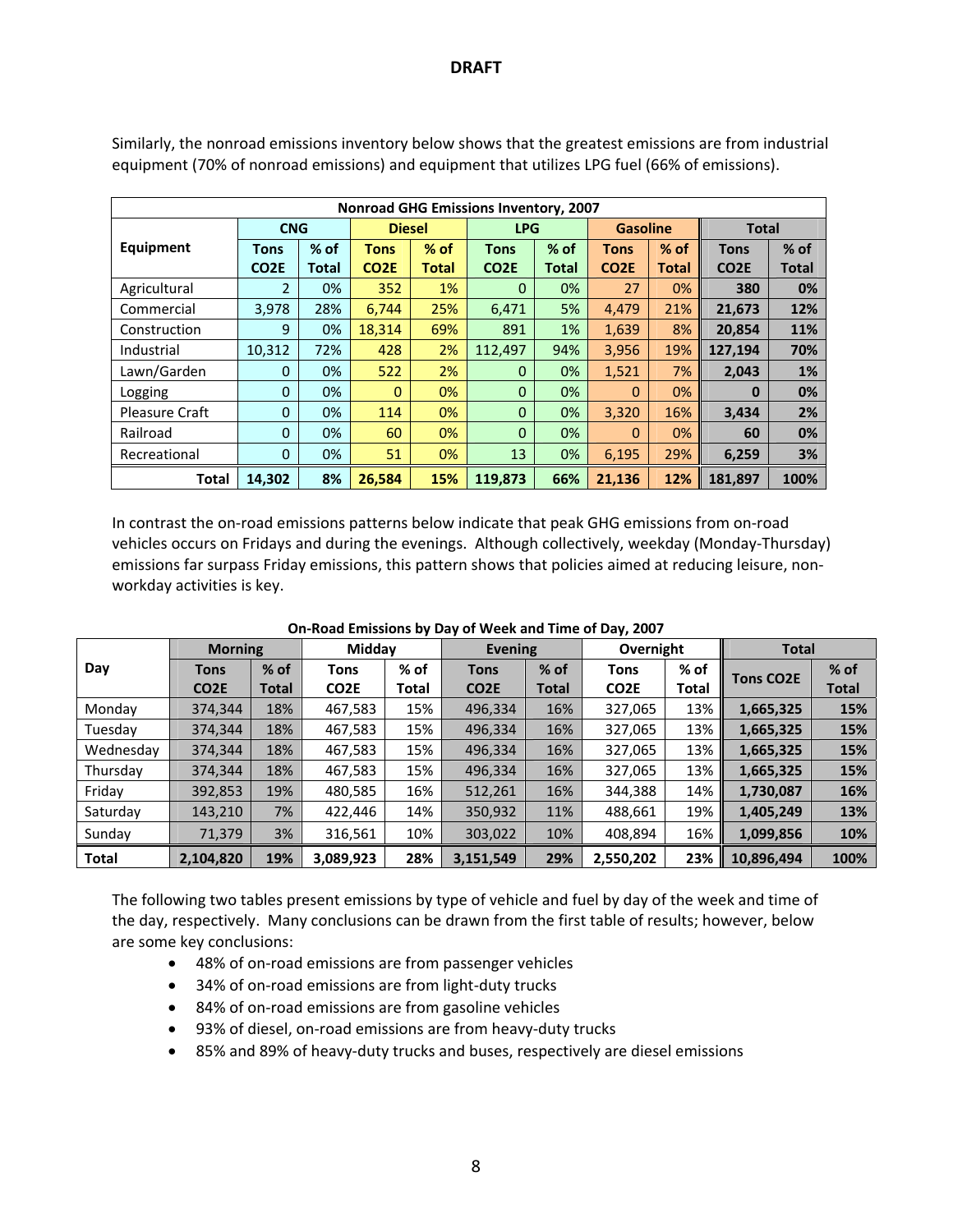#### **DRAFT**

| <b>Nonroad GHG Emissions Inventory, 2007</b> |                   |        |                   |        |                   |              |                   |        |                   |              |  |  |
|----------------------------------------------|-------------------|--------|-------------------|--------|-------------------|--------------|-------------------|--------|-------------------|--------------|--|--|
|                                              | <b>CNG</b>        |        | <b>Diesel</b>     |        | <b>LPG</b>        |              | <b>Gasoline</b>   |        | <b>Total</b>      |              |  |  |
| Equipment                                    | <b>Tons</b>       | $%$ of | <b>Tons</b>       | $%$ of | <b>Tons</b>       | $%$ of       | Tons              | $%$ of | <b>Tons</b>       | $%$ of       |  |  |
|                                              | CO <sub>2</sub> E | Total  | CO <sub>2</sub> E | Total  | CO <sub>2</sub> E | <b>Total</b> | CO <sub>2</sub> E | Total  | CO <sub>2</sub> E | <b>Total</b> |  |  |
| Agricultural                                 | 2                 | 0%     | 352               | 1%     | $\Omega$          | 0%           | 27                | 0%     | 380               | 0%           |  |  |
| Commercial                                   | 3,978             | 28%    | 6,744             | 25%    | 6.471             | 5%           | 4,479             | 21%    | 21.673            | 12%          |  |  |
| Construction                                 | 9                 | 0%     | 18,314            | 69%    | 891               | 1%           | 1,639             | 8%     | 20.854            | 11%          |  |  |
| Industrial                                   | 10,312            | 72%    | 428               | 2%     | 112,497           | 94%          | 3,956             | 19%    | 127,194           | 70%          |  |  |
| Lawn/Garden                                  | 0                 | 0%     | 522               | 2%     | $\Omega$          | 0%           | 1,521             | 7%     | 2,043             | 1%           |  |  |
| Logging                                      | 0                 | 0%     | $\mathbf{0}$      | 0%     | $\Omega$          | 0%           | $\Omega$          | 0%     | 0                 | 0%           |  |  |
| <b>Pleasure Craft</b>                        | $\Omega$          | 0%     | 114               | 0%     | $\mathbf 0$       | 0%           | 3,320             | 16%    | 3,434             | 2%           |  |  |
| Railroad                                     | $\Omega$          | 0%     | 60                | 0%     | $\Omega$          | 0%           | $\Omega$          | 0%     | 60                | 0%           |  |  |
| Recreational                                 | 0                 | 0%     | 51                | 0%     | 13                | 0%           | 6,195             | 29%    | 6,259             | 3%           |  |  |
| Total                                        | 14.302            | 8%     | 26.584            | 15%    | 119.873           | 66%          | 21.136            | 12%    | 181.897           | 100%         |  |  |

Similarly, the nonroad emissions inventory below shows that the greatest emissions are from industrial equipment (70% of nonroad emissions) and equipment that utilizes LPG fuel (66% of emissions).

In contrast the on‐road emissions patterns below indicate that peak GHG emissions from on‐road vehicles occurs on Fridays and during the evenings. Although collectively, weekday (Monday‐Thursday) emissions far surpass Friday emissions, this pattern shows that policies aimed at reducing leisure, non‐ workday activities is key.

|              | <b>Morning</b>    |        | Midday            |              | <b>Evening</b>    |              | Overnight         |       | <b>Total</b>     |              |
|--------------|-------------------|--------|-------------------|--------------|-------------------|--------------|-------------------|-------|------------------|--------------|
| Day          | <b>Tons</b>       | $%$ of | Tons              | $%$ of       | <b>Tons</b>       | $%$ of       | <b>Tons</b>       | % of  | <b>Tons CO2E</b> | $%$ of       |
|              | CO <sub>2</sub> E | Total  | CO <sub>2</sub> E | <b>Total</b> | CO <sub>2</sub> E | <b>Total</b> | CO <sub>2</sub> E | Total |                  | <b>Total</b> |
| Monday       | 374,344           | 18%    | 467,583           | 15%          | 496,334           | 16%          | 327,065           | 13%   | 1,665,325        | 15%          |
| Tuesday      | 374.344           | 18%    | 467,583           | 15%          | 496.334           | 16%          | 327,065           | 13%   | 1,665,325        | 15%          |
| Wednesday    | 374,344           | 18%    | 467,583           | 15%          | 496,334           | 16%          | 327,065           | 13%   | 1,665,325        | 15%          |
| Thursday     | 374,344           | 18%    | 467,583           | 15%          | 496,334           | 16%          | 327,065           | 13%   | 1,665,325        | 15%          |
| Friday       | 392,853           | 19%    | 480,585           | 16%          | 512,261           | 16%          | 344,388           | 14%   | 1,730,087        | 16%          |
| Saturday     | 143,210           | 7%     | 422,446           | 14%          | 350,932           | 11%          | 488,661           | 19%   | 1,405,249        | 13%          |
| Sunday       | 71,379            | 3%     | 316,561           | 10%          | 303,022           | 10%          | 408,894           | 16%   | 1,099,856        | 10%          |
| <b>Total</b> | 2,104,820         | 19%    | 3,089,923         | 28%          | 3,151,549         | 29%          | 2,550,202         | 23%   | 10,896,494       | 100%         |

#### **On‐Road Emissions by Day of Week and Time of Day, 2007**

The following two tables present emissions by type of vehicle and fuel by day of the week and time of the day, respectively. Many conclusions can be drawn from the first table of results; however, below are some key conclusions:

- 48% of on‐road emissions are from passenger vehicles
- 34% of on‐road emissions are from light‐duty trucks
- 84% of on‐road emissions are from gasoline vehicles
- 93% of diesel, on‐road emissions are from heavy‐duty trucks
- 85% and 89% of heavy‐duty trucks and buses, respectively are diesel emissions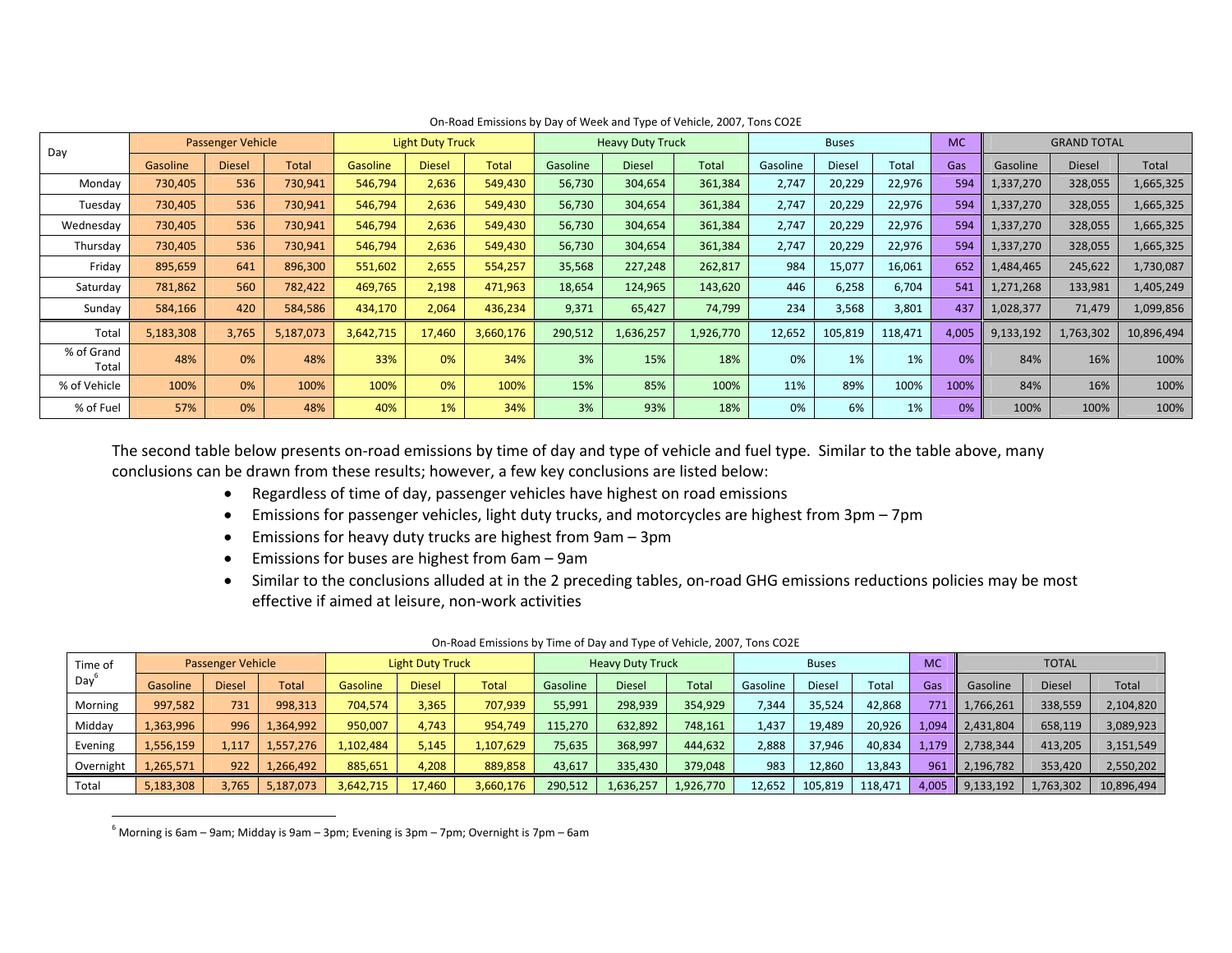| Day                 |                 | Passenger Vehicle |              |           | <b>Light Duty Truck</b> |           |          | <b>Heavy Duty Truck</b> |              |          | <b>Buses</b>  |              | <b>MC</b> |           | <b>GRAND TOTAL</b> |            |
|---------------------|-----------------|-------------------|--------------|-----------|-------------------------|-----------|----------|-------------------------|--------------|----------|---------------|--------------|-----------|-----------|--------------------|------------|
|                     | <b>Gasoline</b> | <b>Diesel</b>     | <b>Total</b> | Gasoline  | <b>Diesel</b>           | Total     | Gasoline | <b>Diesel</b>           | <b>Total</b> | Gasoline | <b>Diesel</b> | <b>Total</b> | Gas       | Gasoline  | <b>Diesel</b>      | Total      |
| Monday              | 730,405         | 536               | 730,941      | 546,794   | 2,636                   | 549,430   | 56,730   | 304,654                 | 361,384      | 2,747    | 20,229        | 22,976       | 594       | 1,337,270 | 328,055            | 1,665,325  |
| Tuesday             | 730,405         | 536               | 730,941      | 546,794   | 2,636                   | 549,430   | 56,730   | 304,654                 | 361,384      | 2,747    | 20,229        | 22,976       | 594       | 1,337,270 | 328,055            | 1,665,325  |
| Wednesday           | 730,405         | 536               | 730,941      | 546,794   | 2,636                   | 549,430   | 56,730   | 304,654                 | 361,384      | 2,747    | 20,229        | 22,976       | 594       | 1,337,270 | 328,055            | 1,665,325  |
| Thursday            | 730,405         | 536               | 730,941      | 546,794   | 2,636                   | 549,430   | 56,730   | 304,654                 | 361,384      | 2,747    | 20,229        | 22,976       | 594       | 1,337,270 | 328,055            | 1,665,325  |
| Friday              | 895,659         | 641               | 896,300      | 551,602   | 2,655                   | 554,257   | 35,568   | 227,248                 | 262,817      | 984      | 15,077        | 16,061       | 652       | 1,484,465 | 245,622            | 1,730,087  |
| Saturday            | 781,862         | 560               | 782,422      | 469,765   | 2,198                   | 471,963   | 18,654   | 124,965                 | 143,620      | 446      | 6,258         | 6,704        | 541       | 1,271,268 | 133,981            | 1,405,249  |
| Sunday              | 584,166         | 420               | 584,586      | 434,170   | 2,064                   | 436,234   | 9,371    | 65,427                  | 74,799       | 234      | 3,568         | 3,801        | 437       | 1,028,377 | 71,479             | 1,099,856  |
| Total               | 5,183,308       | 3,765             | 5,187,073    | 3,642,715 | 17,460                  | 3,660,176 | 290,512  | 1,636,257               | 1,926,770    | 12,652   | 105,819       | 118,471      | 4,005     | 9,133,192 | 1,763,302          | 10,896,494 |
| % of Grand<br>Total | 48%             | 0%                | 48%          | 33%       | 0%                      | 34%       | 3%       | 15%                     | 18%          | 0%       | 1%            | 1%           | 0%        | 84%       | 16%                | 100%       |
| % of Vehicle        | 100%            | 0%                | 100%         | 100%      | 0%                      | 100%      | 15%      | 85%                     | 100%         | 11%      | 89%           | 100%         | 100%      | 84%       | 16%                | 100%       |
| % of Fuel           | 57%             | 0%                | 48%          | 40%       | 1%                      | 34%       | 3%       | 93%                     | 18%          | 0%       | 6%            | 1%           | 0%        | 100%      | 100%               | 100%       |

On‐Road Emissions by Day of Week and Type of Vehicle, 2007, Tons CO2E

The second table below presents on‐road emissions by time of day and type of vehicle and fuel type. Similar to the table above, many conclusions can be drawn from these results; however, <sup>a</sup> few key conclusions are listed below:

- Regardless of time of day, passenger vehicles have highest on road emissions
- Emissions for passenger vehicles, light duty trucks, and motorcycles are highest from 3pm 7pm
- Emissions for heavy duty trucks are highest from 9am 3pm
- Emissions for buses are highest from 6am 9am
- Similar to the conclusions alluded at in the 2 preceding tables, on‐road GHG emissions reductions policies may be most effective if aimed at leisure, non‐work activities

| Time of   |           | Passenger Vehicle |           |           | <b>Light Duty Truck</b> |           |          | <b>Heavy Duty Truck</b> |              |          | <b>Buses</b>  |         | <b>MC</b> |           | <b>TOTAL</b> |            |
|-----------|-----------|-------------------|-----------|-----------|-------------------------|-----------|----------|-------------------------|--------------|----------|---------------|---------|-----------|-----------|--------------|------------|
| Day       | Gasoline  | <b>Diesel</b>     | Total     | Gasoline  | <b>Diesel</b>           | Total     | Gasoline | Diesel                  | <b>Total</b> | Gasoline | <b>Diesel</b> | Total   | Gas       | Gasoline  | Diesel       | Total      |
| Morning   | 997,582   | 731               | 998,313   | 704,574   | 3,365                   | 707.939   | 55,991   | 298,939                 | 354.929      | 7.344    | 35.524        | 42.868  | 771       | 1,766,261 | 338,559      | 2,104,820  |
| Midday    | 1,363,996 | 996               | 1,364,992 | 950,007   | 4,743                   | 954,749   | 115,270  | 632,892                 | 748,161      | 1,437    | 19,489        | 20,926  | 1.094     | 2,431,804 | 658,119      | 3,089,923  |
| Evening   | 1,556,159 | 1.117             | 1,557,276 | 1,102,484 | 5,145                   | 1,107,629 | 75,635   | 368,997                 | 444,632      | 2,888    | 37,946        | 40.834  | .179      | 2,738,344 | 413,205      | 3,151,549  |
| Overnight | 1,265,571 | 922               | 1,266,492 | 885,651   | 4,208                   | 889,858   | 43,617   | 335,430                 | 379.048      | 983      | 12.860        | 13.843  | 961       | 2,196,782 | 353,420      | 2,550,202  |
| Total     | 5,183,308 | 3.765             | 5,187,073 | 3,642,715 | 17,460                  | 3,660,176 | 290,512  | 1,636,257               | 1,926,770    | 12,652   | 105.819       | 118.471 | 4.005     | 9,133,192 | 1,763,302    | 10,896,494 |

| On-Road Emissions by Time of Day and Type of Vehicle, 2007, Tons CO2E |  |  |
|-----------------------------------------------------------------------|--|--|
|                                                                       |  |  |

 $^6$  Morning is 6am – 9am; Midday is 9am – 3pm; Evening is 3pm – 7pm; Overnight is 7pm – 6am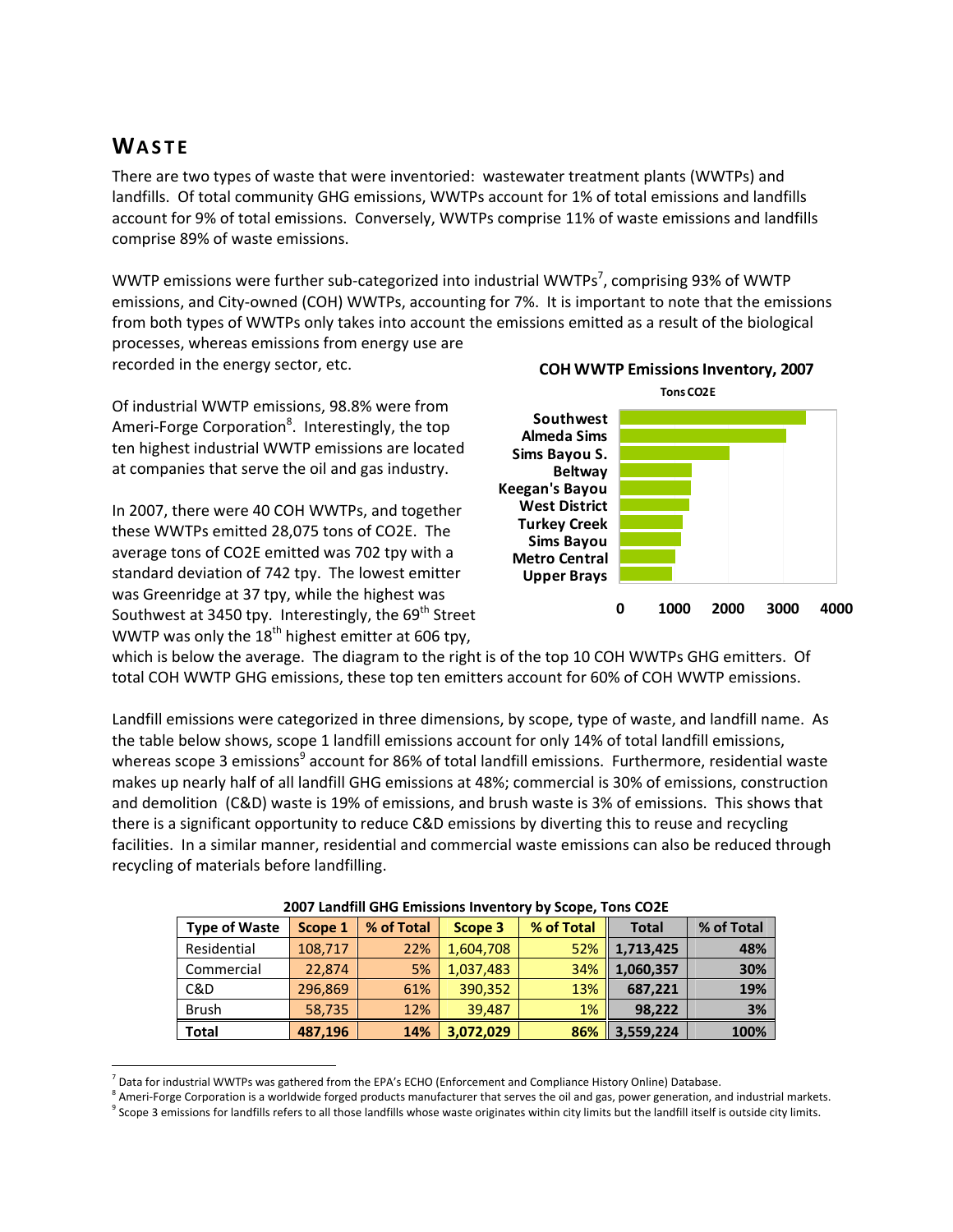### **WASTE**

 $\overline{a}$ 

There are two types of waste that were inventoried: wastewater treatment plants (WWTPs) and landfills. Of total community GHG emissions, WWTPs account for 1% of total emissions and landfills account for 9% of total emissions. Conversely, WWTPs comprise 11% of waste emissions and landfills comprise 89% of waste emissions.

WWTP emissions were further sub-categorized into industrial WWTPs<sup>7</sup>, comprising 93% of WWTP emissions, and City‐owned (COH) WWTPs, accounting for 7%. It is important to note that the emissions from both types of WWTPs only takes into account the emissions emitted as a result of the biological processes, whereas emissions from energy use are recorded in the energy sector, etc. **COH WWTP EmissionsInventory, 2007**

Of industrial WWTP emissions, 98.8% were from Ameri-Forge Corporation<sup>8</sup>. Interestingly, the top ten highest industrial WWTP emissions are located at companies that serve the oil and gas industry.

In 2007, there were 40 COH WWTPs, and together these WWTPs emitted 28,075 tons of CO2E. The average tons of CO2E emitted was 702 tpy with a standard deviation of 742 tpy. The lowest emitter was Greenridge at 37 tpy, while the highest was Southwest at 3450 tpy. Interestingly, the  $69<sup>th</sup>$  Street WWTP was only the  $18<sup>th</sup>$  highest emitter at 606 tpy,



which is below the average. The diagram to the right is of the top 10 COH WWTPs GHG emitters. Of total COH WWTP GHG emissions, these top ten emitters account for 60% of COH WWTP emissions.

Landfill emissions were categorized in three dimensions, by scope, type of waste, and landfill name. As the table below shows, scope 1 landfill emissions account for only 14% of total landfill emissions, whereas scope 3 emissions<sup>9</sup> account for 86% of total landfill emissions. Furthermore, residential waste makes up nearly half of all landfill GHG emissions at 48%; commercial is 30% of emissions, construction and demolition (C&D) waste is 19% of emissions, and brush waste is 3% of emissions. This shows that there is a significant opportunity to reduce C&D emissions by diverting this to reuse and recycling facilities. In a similar manner, residential and commercial waste emissions can also be reduced through recycling of materials before landfilling.

| <b>Type of Waste</b> | Scope 1 | % of Total | Scope 3   | % of Total | <b>Total</b>     | % of Total |
|----------------------|---------|------------|-----------|------------|------------------|------------|
| Residential          | 108,717 | 22%        | 1,604,708 |            | $52\%$ 1,713,425 | 48%        |
| Commercial           | 22,874  | 5%         | 1,037,483 | $34\%$     | 1,060,357        | 30%        |
| C&D                  | 296,869 | 61%        | 390,352   | 13%        | 687,221          | 19%        |
| <b>Brush</b>         | 58,735  | 12%        | 39,487    | 1%         | 98,222           | 3%         |
| <b>Total</b>         | 487,196 | 14%        | 3,072,029 | $86\%$     | 3,559,224        | 100%       |

**2007 Landfill GHG Emissions Inventory by Scope, Tons CO2E**

 $^7$  Data for industrial WWTPs was gathered from the EPA's ECHO (Enforcement and Compliance History Online) Database.<br><sup>8</sup> Ameri-Forge Corporation is a worldwide forged products manufacturer that serves the oil and gas, po

 $9$  Scope 3 emissions for landfills refers to all those landfills whose waste originates within city limits but the landfill itself is outside city limits.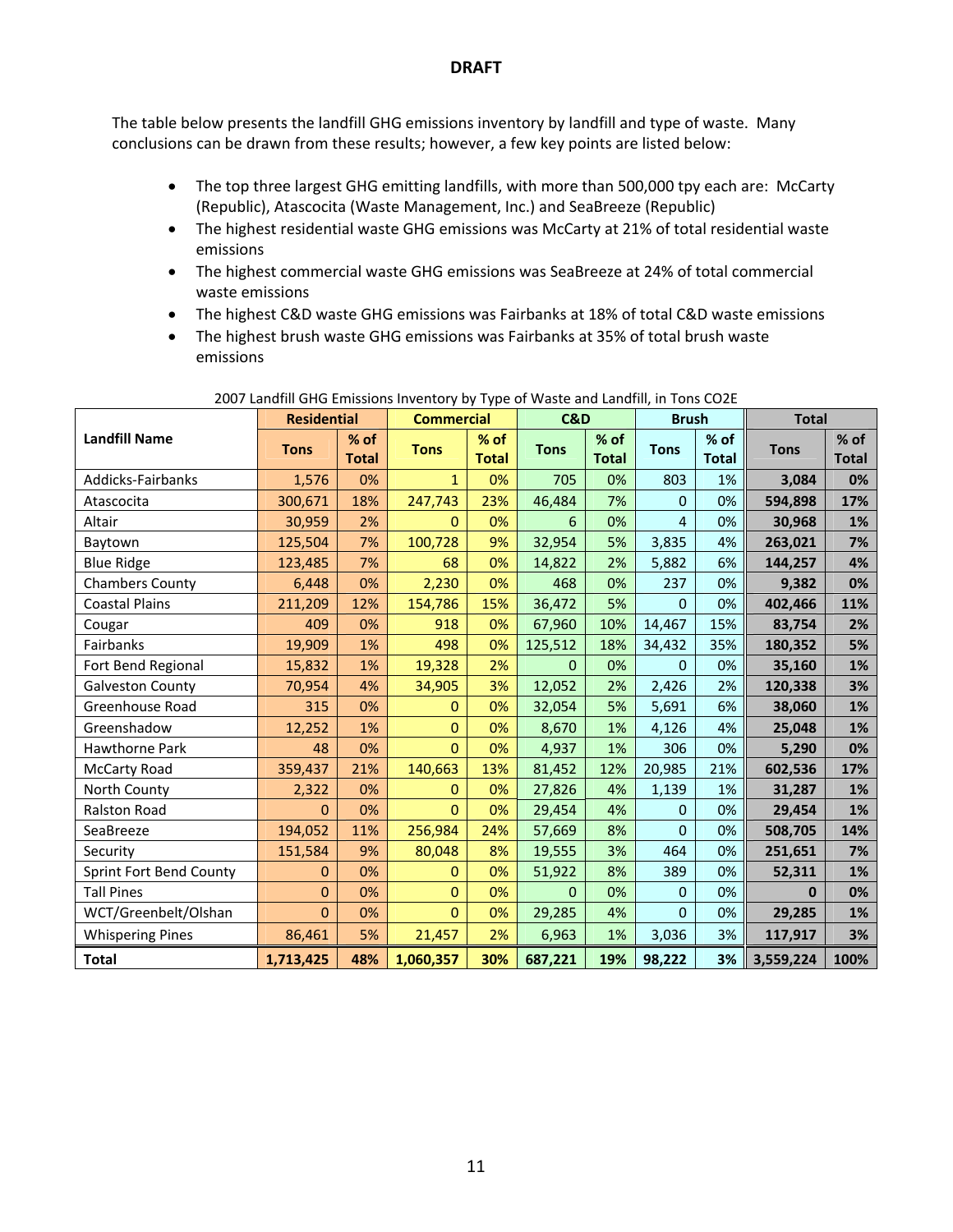#### **DRAFT**

The table below presents the landfill GHG emissions inventory by landfill and type of waste. Many conclusions can be drawn from these results; however, a few key points are listed below:

- The top three largest GHG emitting landfills, with more than 500,000 tpy each are: McCarty (Republic), Atascocita (Waste Management, Inc.) and SeaBreeze (Republic)
- The highest residential waste GHG emissions was McCarty at 21% of total residential waste emissions
- The highest commercial waste GHG emissions was SeaBreeze at 24% of total commercial waste emissions
- The highest C&D waste GHG emissions was Fairbanks at 18% of total C&D waste emissions
- The highest brush waste GHG emissions was Fairbanks at 35% of total brush waste emissions

| <b>Landfill Name</b>    | <b>Residential</b> |                      | <b>Commercial</b> |                      | C&D          |                        | <b>Brush</b> |                      | <b>Total</b> |                        |
|-------------------------|--------------------|----------------------|-------------------|----------------------|--------------|------------------------|--------------|----------------------|--------------|------------------------|
|                         | <b>Tons</b>        | % of<br><b>Total</b> | <b>Tons</b>       | % of<br><b>Total</b> | <b>Tons</b>  | $%$ of<br><b>Total</b> | <b>Tons</b>  | % of<br><b>Total</b> | <b>Tons</b>  | $%$ of<br><b>Total</b> |
| Addicks-Fairbanks       | 1,576              | 0%                   | $\mathbf{1}$      | 0%                   | 705          | 0%                     | 803          | 1%                   | 3,084        | 0%                     |
| Atascocita              | 300,671            | 18%                  | 247,743           | 23%                  | 46,484       | 7%                     | $\mathbf 0$  | 0%                   | 594,898      | 17%                    |
| Altair                  | 30,959             | 2%                   | $\Omega$          | 0%                   | 6            | 0%                     | 4            | 0%                   | 30,968       | 1%                     |
| Baytown                 | 125,504            | 7%                   | 100,728           | 9%                   | 32,954       | 5%                     | 3,835        | 4%                   | 263,021      | 7%                     |
| <b>Blue Ridge</b>       | 123,485            | 7%                   | 68                | 0%                   | 14,822       | 2%                     | 5,882        | 6%                   | 144,257      | 4%                     |
| <b>Chambers County</b>  | 6,448              | 0%                   | 2,230             | 0%                   | 468          | 0%                     | 237          | 0%                   | 9,382        | 0%                     |
| <b>Coastal Plains</b>   | 211,209            | 12%                  | 154,786           | 15%                  | 36,472       | 5%                     | $\Omega$     | 0%                   | 402,466      | 11%                    |
| Cougar                  | 409                | 0%                   | 918               | 0%                   | 67,960       | 10%                    | 14,467       | 15%                  | 83,754       | 2%                     |
| Fairbanks               | 19,909             | 1%                   | 498               | 0%                   | 125,512      | 18%                    | 34,432       | 35%                  | 180,352      | 5%                     |
| Fort Bend Regional      | 15,832             | 1%                   | 19,328            | 2%                   | $\mathbf{0}$ | 0%                     | $\mathbf{0}$ | 0%                   | 35,160       | 1%                     |
| <b>Galveston County</b> | 70,954             | 4%                   | 34,905            | 3%                   | 12,052       | 2%                     | 2,426        | 2%                   | 120,338      | 3%                     |
| Greenhouse Road         | 315                | 0%                   | $\mathbf{0}$      | 0%                   | 32,054       | 5%                     | 5,691        | 6%                   | 38,060       | 1%                     |
| Greenshadow             | 12,252             | 1%                   | $\mathbf{0}$      | 0%                   | 8,670        | 1%                     | 4,126        | 4%                   | 25,048       | 1%                     |
| Hawthorne Park          | 48                 | 0%                   | $\Omega$          | 0%                   | 4,937        | 1%                     | 306          | 0%                   | 5,290        | 0%                     |
| <b>McCarty Road</b>     | 359,437            | 21%                  | 140,663           | 13%                  | 81,452       | 12%                    | 20,985       | 21%                  | 602,536      | 17%                    |
| North County            | 2,322              | 0%                   | 0                 | 0%                   | 27,826       | 4%                     | 1,139        | 1%                   | 31,287       | 1%                     |
| <b>Ralston Road</b>     | $\Omega$           | 0%                   | $\Omega$          | 0%                   | 29,454       | 4%                     | $\Omega$     | 0%                   | 29,454       | 1%                     |
| SeaBreeze               | 194,052            | 11%                  | 256,984           | 24%                  | 57,669       | 8%                     | $\Omega$     | 0%                   | 508,705      | 14%                    |
| Security                | 151,584            | 9%                   | 80,048            | 8%                   | 19,555       | 3%                     | 464          | 0%                   | 251,651      | 7%                     |
| Sprint Fort Bend County | 0                  | 0%                   | 0                 | 0%                   | 51,922       | 8%                     | 389          | 0%                   | 52,311       | 1%                     |
| <b>Tall Pines</b>       | $\overline{0}$     | 0%                   | $\overline{0}$    | 0%                   | $\mathbf{0}$ | 0%                     | $\mathbf{0}$ | 0%                   | $\bf{0}$     | 0%                     |
| WCT/Greenbelt/Olshan    | $\overline{0}$     | 0%                   | $\Omega$          | 0%                   | 29,285       | 4%                     | $\Omega$     | 0%                   | 29,285       | 1%                     |
| <b>Whispering Pines</b> | 86,461             | 5%                   | 21,457            | 2%                   | 6,963        | 1%                     | 3,036        | 3%                   | 117,917      | 3%                     |
| <b>Total</b>            | 1,713,425          | 48%                  | 1,060,357         | 30%                  | 687,221      | 19%                    | 98,222       | 3%                   | 3,559,224    | 100%                   |

2007 Landfill GHG Emissions Inventory by Type of Waste and Landfill, in Tons CO2E